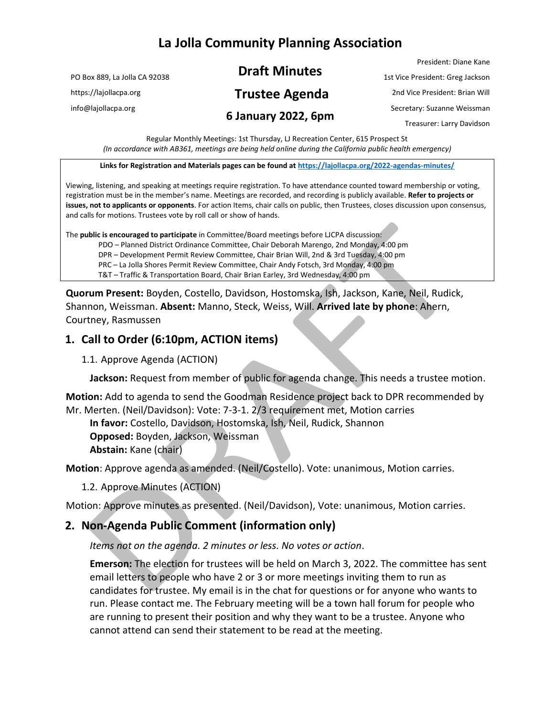# **La Jolla Community Planning Association**

PO Box 889, La Jolla CA 92038 https://lajollacpa.org

info@lajollacpa.org

# **Draft Minutes**

# **Trustee Agenda**

### **6 January 2022, 6pm**

President: Diane Kane 1st Vice President: Greg Jackson 2nd Vice President: Brian Will Secretary: Suzanne Weissman Treasurer: Larry Davidson

Regular Monthly Meetings: 1st Thursday, LJ Recreation Center, 615 Prospect St *(In accordance with AB361, meetings are being held online during the California public health emergency)*

**Links for Registration and Materials pages can be found at <https://lajollacpa.org/2022-agendas-minutes/>**

Viewing, listening, and speaking at meetings require registration. To have attendance counted toward membership or voting, registration must be in the member's name. Meetings are recorded, and recording is publicly available. **Refer to projects or issues, not to applicants or opponents**. For action Items, chair calls on public, then Trustees, closes discussion upon consensus, and calls for motions. Trustees vote by roll call or show of hands.

The **public is encouraged to participate** in Committee/Board meetings before LJCPA discussion:

PDO – Planned District Ordinance Committee, Chair Deborah Marengo, 2nd Monday, 4:00 pm

DPR – Development Permit Review Committee, Chair Brian Will, 2nd & 3rd Tuesday, 4:00 pm

PRC – La Jolla Shores Permit Review Committee, Chair Andy Fotsch, 3rd Monday, 4:00 pm

T&T – Traffic & Transportation Board, Chair Brian Earley, 3rd Wednesday, 4:00 pm

**Quorum Present:** Boyden, Costello, Davidson, Hostomska, Ish, Jackson, Kane, Neil, Rudick, Shannon, Weissman. **Absent:** Manno, Steck, Weiss, Will. **Arrived late by phone**: Ahern, Courtney, Rasmussen

### **1. Call to Order (6:10pm, ACTION items)**

1.1. Approve Agenda (ACTION)

**Jackson:** Request from member of public for agenda change. This needs a trustee motion.

**Motion:** Add to agenda to send the Goodman Residence project back to DPR recommended by Mr. Merten. (Neil/Davidson): Vote: 7-3-1. 2/3 requirement met, Motion carries

**In favor:** Costello, Davidson, Hostomska, Ish, Neil, Rudick, Shannon **Opposed:** Boyden, Jackson, Weissman **Abstain:** Kane (chair)

**Motion**: Approve agenda as amended. (Neil/Costello). Vote: unanimous, Motion carries.

1.2. Approve Minutes (ACTION)

Motion: Approve minutes as presented. (Neil/Davidson), Vote: unanimous, Motion carries.

# **2. Non-Agenda Public Comment (information only)**

*Items not on the agenda. 2 minutes or less. No votes or action*.

**Emerson:** The election for trustees will be held on March 3, 2022. The committee has sent email letters to people who have 2 or 3 or more meetings inviting them to run as candidates for trustee. My email is in the chat for questions or for anyone who wants to run. Please contact me. The February meeting will be a town hall forum for people who are running to present their position and why they want to be a trustee. Anyone who cannot attend can send their statement to be read at the meeting.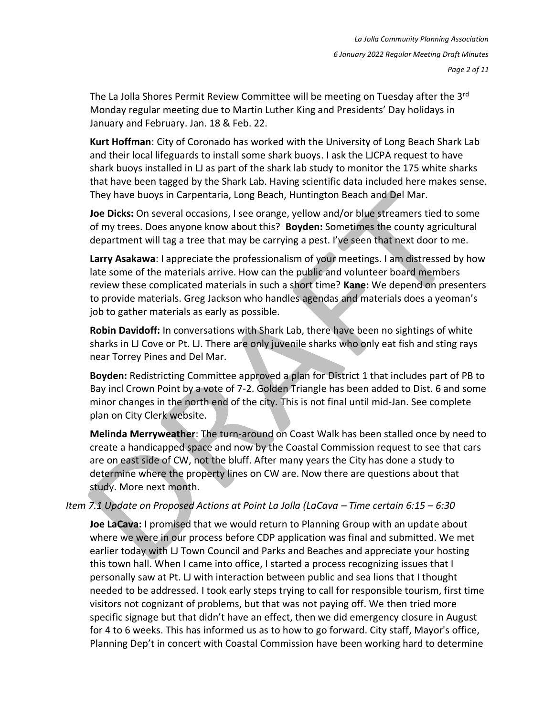The La Jolla Shores Permit Review Committee will be meeting on Tuesday after the 3rd Monday regular meeting due to Martin Luther King and Presidents' Day holidays in January and February. Jan. 18 & Feb. 22.

**Kurt Hoffman**: City of Coronado has worked with the University of Long Beach Shark Lab and their local lifeguards to install some shark buoys. I ask the LJCPA request to have shark buoys installed in LJ as part of the shark lab study to monitor the 175 white sharks that have been tagged by the Shark Lab. Having scientific data included here makes sense. They have buoys in Carpentaria, Long Beach, Huntington Beach and Del Mar.

**Joe Dicks:** On several occasions, I see orange, yellow and/or blue streamers tied to some of my trees. Does anyone know about this? **Boyden:** Sometimes the county agricultural department will tag a tree that may be carrying a pest. I've seen that next door to me.

**Larry Asakawa**: I appreciate the professionalism of your meetings. I am distressed by how late some of the materials arrive. How can the public and volunteer board members review these complicated materials in such a short time? **Kane:** We depend on presenters to provide materials. Greg Jackson who handles agendas and materials does a yeoman's job to gather materials as early as possible.

**Robin Davidoff:** In conversations with Shark Lab, there have been no sightings of white sharks in LJ Cove or Pt. LJ. There are only juvenile sharks who only eat fish and sting rays near Torrey Pines and Del Mar.

**Boyden:** Redistricting Committee approved a plan for District 1 that includes part of PB to Bay incl Crown Point by a vote of 7-2. Golden Triangle has been added to Dist. 6 and some minor changes in the north end of the city. This is not final until mid-Jan. See complete plan on City Clerk website.

**Melinda Merryweather**: The turn-around on Coast Walk has been stalled once by need to create a handicapped space and now by the Coastal Commission request to see that cars are on east side of CW, not the bluff. After many years the City has done a study to determine where the property lines on CW are. Now there are questions about that study. More next month.

*Item 7.1 Update on Proposed Actions at Point La Jolla (LaCava – Time certain 6:15 – 6:30* 

**Joe LaCava:** I promised that we would return to Planning Group with an update about where we were in our process before CDP application was final and submitted. We met earlier today with LJ Town Council and Parks and Beaches and appreciate your hosting this town hall. When I came into office, I started a process recognizing issues that I personally saw at Pt. LJ with interaction between public and sea lions that I thought needed to be addressed. I took early steps trying to call for responsible tourism, first time visitors not cognizant of problems, but that was not paying off. We then tried more specific signage but that didn't have an effect, then we did emergency closure in August for 4 to 6 weeks. This has informed us as to how to go forward. City staff, Mayor's office, Planning Dep't in concert with Coastal Commission have been working hard to determine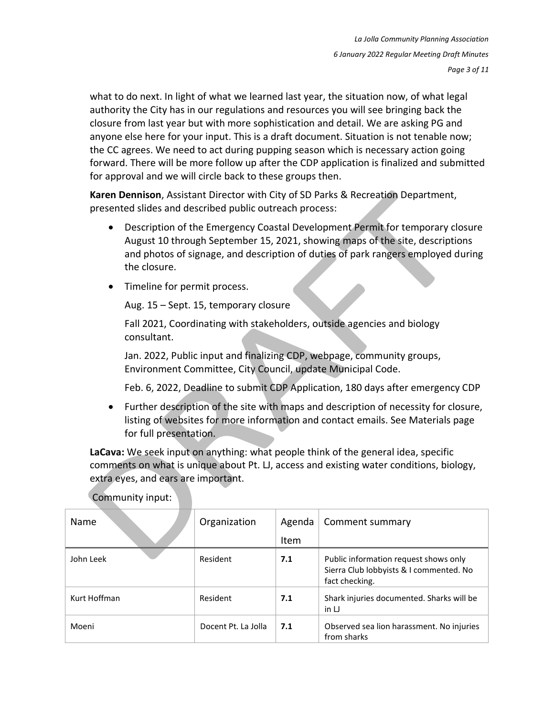what to do next. In light of what we learned last year, the situation now, of what legal authority the City has in our regulations and resources you will see bringing back the closure from last year but with more sophistication and detail. We are asking PG and anyone else here for your input. This is a draft document. Situation is not tenable now; the CC agrees. We need to act during pupping season which is necessary action going forward. There will be more follow up after the CDP application is finalized and submitted for approval and we will circle back to these groups then.

**Karen Dennison**, Assistant Director with City of SD Parks & Recreation Department, presented slides and described public outreach process:

- Description of the Emergency Coastal Development Permit for temporary closure August 10 through September 15, 2021, showing maps of the site, descriptions and photos of signage, and description of duties of park rangers employed during the closure.
- Timeline for permit process.

Aug. 15 – Sept. 15, temporary closure

Fall 2021, Coordinating with stakeholders, outside agencies and biology consultant.

Jan. 2022, Public input and finalizing CDP, webpage, community groups, Environment Committee, City Council, update Municipal Code.

Feb. 6, 2022, Deadline to submit CDP Application, 180 days after emergency CDP

• Further description of the site with maps and description of necessity for closure, listing of websites for more information and contact emails. See Materials page for full presentation.

**LaCava:** We seek input on anything: what people think of the general idea, specific comments on what is unique about Pt. LJ, access and existing water conditions, biology, extra eyes, and ears are important.

Community input:

| Name         | Organization        | Agenda | Comment summary                                                                                    |
|--------------|---------------------|--------|----------------------------------------------------------------------------------------------------|
|              |                     | Item   |                                                                                                    |
| John Leek    | Resident            | 7.1    | Public information request shows only<br>Sierra Club lobbyists & I commented. No<br>fact checking. |
| Kurt Hoffman | Resident            | 7.1    | Shark injuries documented. Sharks will be<br>$\mathsf{in} \mathsf{U}$                              |
| Moeni        | Docent Pt. La Jolla | 7.1    | Observed sea lion harassment. No injuries<br>from sharks                                           |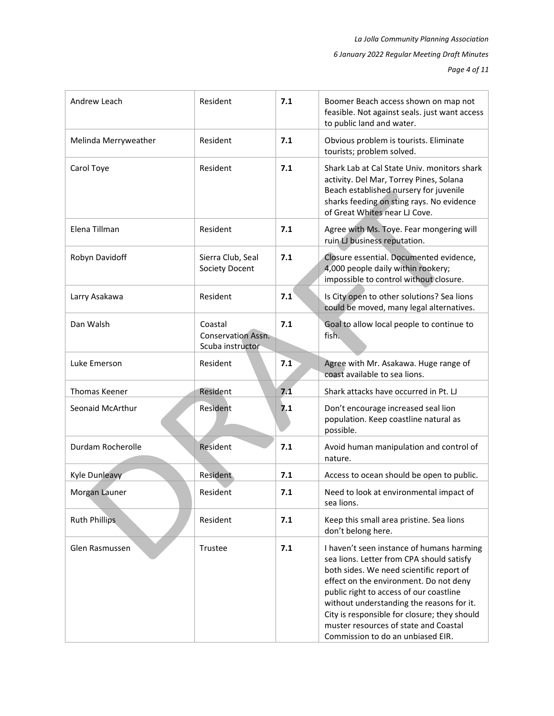*La Jolla Community Planning Association*

*6 January 2022 Regular Meeting Draft Minutes*

*Page 4 of 11*

| Andrew Leach         | Resident                                                 | 7.1 | Boomer Beach access shown on map not<br>feasible. Not against seals. just want access<br>to public land and water.                                                                                                                                                                                                                                                                                 |
|----------------------|----------------------------------------------------------|-----|----------------------------------------------------------------------------------------------------------------------------------------------------------------------------------------------------------------------------------------------------------------------------------------------------------------------------------------------------------------------------------------------------|
| Melinda Merryweather | Resident                                                 | 7.1 | Obvious problem is tourists. Eliminate<br>tourists; problem solved.                                                                                                                                                                                                                                                                                                                                |
| Carol Toye           | Resident                                                 | 7.1 | Shark Lab at Cal State Univ. monitors shark<br>activity. Del Mar, Torrey Pines, Solana<br>Beach established nursery for juvenile<br>sharks feeding on sting rays. No evidence<br>of Great Whites near LJ Cove.                                                                                                                                                                                     |
| Elena Tillman        | Resident                                                 | 7.1 | Agree with Ms. Toye. Fear mongering will<br>ruin LJ business reputation.                                                                                                                                                                                                                                                                                                                           |
| Robyn Davidoff       | Sierra Club, Seal<br>Society Docent                      | 7.1 | Closure essential. Documented evidence,<br>4,000 people daily within rookery;<br>impossible to control without closure.                                                                                                                                                                                                                                                                            |
| Larry Asakawa        | Resident                                                 | 7.1 | Is City open to other solutions? Sea lions<br>could be moved, many legal alternatives.                                                                                                                                                                                                                                                                                                             |
| Dan Walsh            | Coastal<br><b>Conservation Assn.</b><br>Scuba instructor | 7.1 | Goal to allow local people to continue to<br>fish.                                                                                                                                                                                                                                                                                                                                                 |
| Luke Emerson         | Resident                                                 | 7.1 | Agree with Mr. Asakawa. Huge range of<br>coast available to sea lions.                                                                                                                                                                                                                                                                                                                             |
| Thomas Keener        | Resident                                                 | 7.1 | Shark attacks have occurred in Pt. LJ                                                                                                                                                                                                                                                                                                                                                              |
| Seonaid McArthur     | Resident                                                 | 7.1 | Don't encourage increased seal lion<br>population. Keep coastline natural as<br>possible.                                                                                                                                                                                                                                                                                                          |
| Durdam Rocherolle    | Resident                                                 | 7.1 | Avoid human manipulation and control of<br>nature.                                                                                                                                                                                                                                                                                                                                                 |
| Kyle Dunleavy        | <b>Resident</b>                                          | 7.1 | Access to ocean should be open to public.                                                                                                                                                                                                                                                                                                                                                          |
| Morgan Launer        | Resident                                                 | 7.1 | Need to look at environmental impact of<br>sea lions.                                                                                                                                                                                                                                                                                                                                              |
| <b>Ruth Phillips</b> | Resident                                                 | 7.1 | Keep this small area pristine. Sea lions<br>don't belong here.                                                                                                                                                                                                                                                                                                                                     |
| Glen Rasmussen       | Trustee                                                  | 7.1 | I haven't seen instance of humans harming<br>sea lions. Letter from CPA should satisfy<br>both sides. We need scientific report of<br>effect on the environment. Do not deny<br>public right to access of our coastline<br>without understanding the reasons for it.<br>City is responsible for closure; they should<br>muster resources of state and Coastal<br>Commission to do an unbiased EIR. |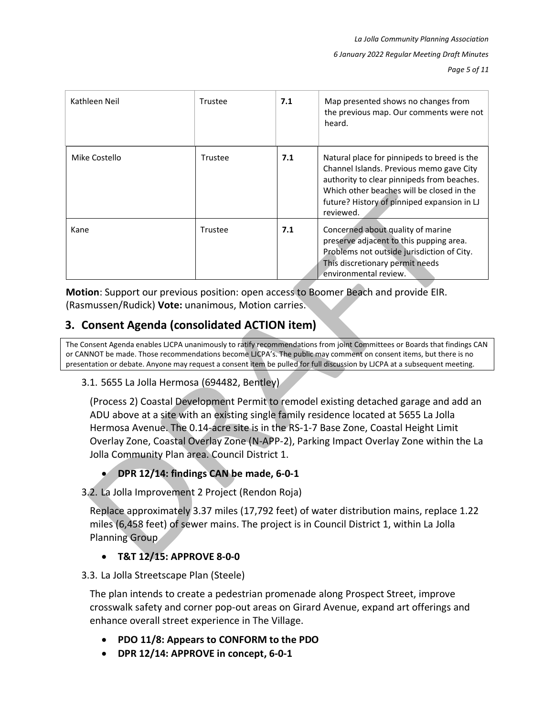*La Jolla Community Planning Association*

*6 January 2022 Regular Meeting Draft Minutes*

*Page 5 of 11*

| Kathleen Neil | Trustee | 7.1 | Map presented shows no changes from<br>the previous map. Our comments were not<br>heard.                                                                                                                                                       |
|---------------|---------|-----|------------------------------------------------------------------------------------------------------------------------------------------------------------------------------------------------------------------------------------------------|
| Mike Costello | Trustee | 7.1 | Natural place for pinnipeds to breed is the<br>Channel Islands. Previous memo gave City<br>authority to clear pinnipeds from beaches.<br>Which other beaches will be closed in the<br>future? History of pinniped expansion in LJ<br>reviewed. |
| Kane          | Trustee | 7.1 | Concerned about quality of marine<br>preserve adjacent to this pupping area.<br>Problems not outside jurisdiction of City.<br>This discretionary permit needs<br>environmental review.                                                         |

**Motion**: Support our previous position: open access to Boomer Beach and provide EIR. (Rasmussen/Rudick) **Vote:** unanimous, Motion carries.

# **3. Consent Agenda (consolidated ACTION item)**

The Consent Agenda enables LJCPA unanimously to ratify recommendations from joint Committees or Boards that findings CAN or CANNOT be made. Those recommendations become LICPA's. The public may comment on consent items, but there is no presentation or debate. Anyone may request a consent item be pulled for full discussion by LJCPA at a subsequent meeting.

3.1. 5655 La Jolla Hermosa (694482, Bentley)

(Process 2) Coastal Development Permit to remodel existing detached garage and add an ADU above at a site with an existing single family residence located at 5655 La Jolla Hermosa Avenue. The 0.14-acre site is in the RS-1-7 Base Zone, Coastal Height Limit Overlay Zone, Coastal Overlay Zone (N-APP-2), Parking Impact Overlay Zone within the La Jolla Community Plan area. Council District 1.

# • **DPR 12/14: findings CAN be made, 6-0-1**

3.2. La Jolla Improvement 2 Project (Rendon Roja)

Replace approximately 3.37 miles (17,792 feet) of water distribution mains, replace 1.22 miles (6,458 feet) of sewer mains. The project is in Council District 1, within La Jolla Planning Group

### • **T&T 12/15: APPROVE 8-0-0**

3.3. La Jolla Streetscape Plan (Steele)

The plan intends to create a pedestrian promenade along Prospect Street, improve crosswalk safety and corner pop-out areas on Girard Avenue, expand art offerings and enhance overall street experience in The Village.

- **PDO 11/8: Appears to CONFORM to the PDO**
- **DPR 12/14: APPROVE in concept, 6-0-1**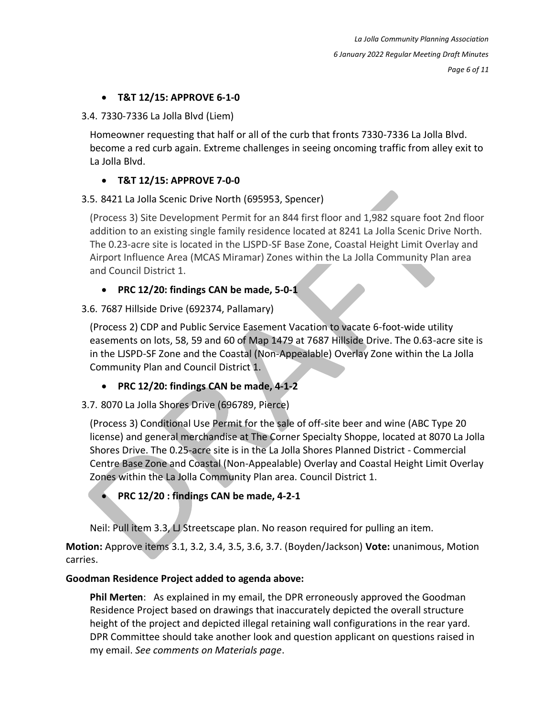#### • **T&T 12/15: APPROVE 6-1-0**

#### 3.4. 7330-7336 La Jolla Blvd (Liem)

Homeowner requesting that half or all of the curb that fronts 7330-7336 La Jolla Blvd. become a red curb again. Extreme challenges in seeing oncoming traffic from alley exit to La Jolla Blvd.

#### • **T&T 12/15: APPROVE 7-0-0**

3.5. 8421 La Jolla Scenic Drive North (695953, Spencer)

(Process 3) Site Development Permit for an 844 first floor and 1,982 square foot 2nd floor addition to an existing single family residence located at 8241 La Jolla Scenic Drive North. The 0.23-acre site is located in the LJSPD-SF Base Zone, Coastal Height Limit Overlay and Airport Influence Area (MCAS Miramar) Zones within the La Jolla Community Plan area and Council District 1.

#### • **PRC 12/20: findings CAN be made, 5-0-1**

#### 3.6. 7687 Hillside Drive (692374, Pallamary)

(Process 2) CDP and Public Service Easement Vacation to vacate 6-foot-wide utility easements on lots, 58, 59 and 60 of Map 1479 at 7687 Hillside Drive. The 0.63-acre site is in the LJSPD-SF Zone and the Coastal (Non-Appealable) Overlay Zone within the La Jolla Community Plan and Council District 1.

#### • **PRC 12/20: findings CAN be made, 4-1-2**

#### 3.7. 8070 La Jolla Shores Drive (696789, Pierce)

(Process 3) Conditional Use Permit for the sale of off-site beer and wine (ABC Type 20 license) and general merchandise at The Corner Specialty Shoppe, located at 8070 La Jolla Shores Drive. The 0.25-acre site is in the La Jolla Shores Planned District - Commercial Centre Base Zone and Coastal (Non-Appealable) Overlay and Coastal Height Limit Overlay Zones within the La Jolla Community Plan area. Council District 1.

• **PRC 12/20 : findings CAN be made, 4-2-1**

Neil: Pull item 3.3, LJ Streetscape plan. No reason required for pulling an item.

**Motion:** Approve items 3.1, 3.2, 3.4, 3.5, 3.6, 3.7. (Boyden/Jackson) **Vote:** unanimous, Motion carries.

#### **Goodman Residence Project added to agenda above:**

**Phil Merten**: As explained in my email, the DPR erroneously approved the Goodman Residence Project based on drawings that inaccurately depicted the overall structure height of the project and depicted illegal retaining wall configurations in the rear yard. DPR Committee should take another look and question applicant on questions raised in my email. *See comments on Materials page*.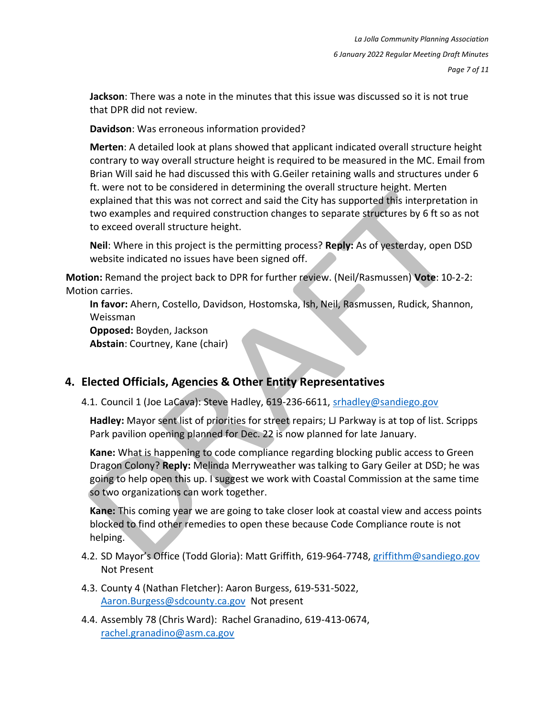**Jackson**: There was a note in the minutes that this issue was discussed so it is not true that DPR did not review.

**Davidson**: Was erroneous information provided?

**Merten**: A detailed look at plans showed that applicant indicated overall structure height contrary to way overall structure height is required to be measured in the MC. Email from Brian Will said he had discussed this with G.Geiler retaining walls and structures under 6 ft. were not to be considered in determining the overall structure height. Merten explained that this was not correct and said the City has supported this interpretation in two examples and required construction changes to separate structures by 6 ft so as not to exceed overall structure height.

**Neil**: Where in this project is the permitting process? **Reply:** As of yesterday, open DSD website indicated no issues have been signed off.

**Motion:** Remand the project back to DPR for further review. (Neil/Rasmussen) **Vote**: 10-2-2: Motion carries.

**In favor:** Ahern, Costello, Davidson, Hostomska, Ish, Neil, Rasmussen, Rudick, Shannon, Weissman

**Opposed:** Boyden, Jackson **Abstain**: Courtney, Kane (chair)

# **4. Elected Officials, Agencies & Other Entity Representatives**

4.1. Council 1 (Joe LaCava): Steve Hadley, 619-236-6611, srhadley@sandiego.gov

**Hadley:** Mayor sent list of priorities for street repairs; LJ Parkway is at top of list. Scripps Park pavilion opening planned for Dec. 22 is now planned for late January.

**Kane:** What is happening to code compliance regarding blocking public access to Green Dragon Colony? **Reply:** Melinda Merryweather was talking to Gary Geiler at DSD; he was going to help open this up. I suggest we work with Coastal Commission at the same time so two organizations can work together.

**Kane:** This coming year we are going to take closer look at coastal view and access points blocked to find other remedies to open these because Code Compliance route is not helping.

- 4.2. SD Mayor's Office (Todd Gloria): Matt Griffith, 619-964-7748, [griffithm@sandiego.gov](mailto:griffithm@sandiego.gov)  Not Present
- 4.3. County 4 (Nathan Fletcher): Aaron Burgess, 619-531-5022, [Aaron.Burgess@sdcounty.ca.gov](mailto:Aaron.Burgess@sdcounty.ca.gov) Not present
- 4.4. Assembly 78 (Chris Ward): Rachel Granadino, 619-413-0674, [rachel.granadino@asm.ca.gov](mailto:rachel.granadino@asm.ca.gov)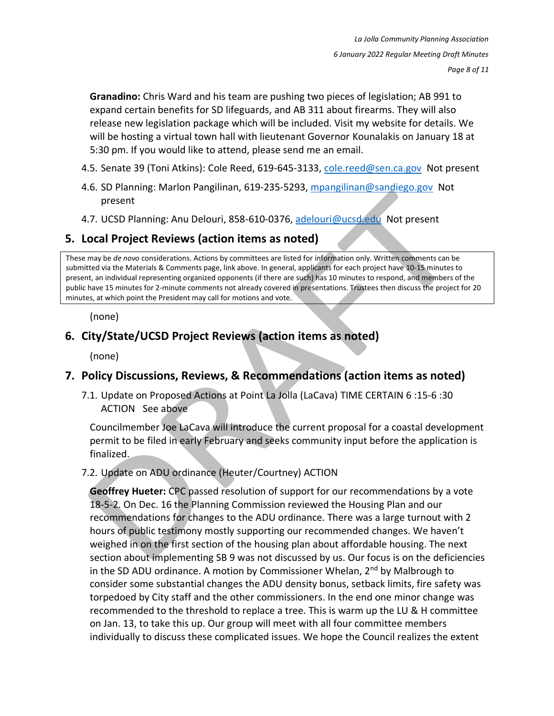*Page 8 of 11*

**Granadino:** Chris Ward and his team are pushing two pieces of legislation; AB 991 to expand certain benefits for SD lifeguards, and AB 311 about firearms. They will also release new legislation package which will be included. Visit my website for details. We will be hosting a virtual town hall with lieutenant Governor Kounalakis on January 18 at 5:30 pm. If you would like to attend, please send me an email.

- 4.5. Senate 39 (Toni Atkins): Cole Reed, 619-645-3133, [cole.reed@sen.ca.gov](mailto:cole.reed@sen.ca.gov) Not present
- 4.6. SD Planning: Marlon Pangilinan, 619-235-5293, [mpangilinan@sandiego.gov](mailto:mpangilinan@sandiego.gov) Not present
- 4.7. UCSD Planning: Anu Delouri, 858-610-0376, [adelouri@ucsd.edu](mailto:adelouri@ucsd.edu) Not present

### **5. Local Project Reviews (action items as noted)**

These may be *de novo* considerations. Actions by committees are listed for information only. Written comments can be submitted via the Materials & Comments page, link above. In general, applicants for each project have 10-15 minutes to present, an individual representing organized opponents (if there are such) has 10 minutes to respond, and members of the public have 15 minutes for 2-minute comments not already covered in presentations. Trustees then discuss the project for 20 minutes, at which point the President may call for motions and vote.

(none)

# **6. City/State/UCSD Project Reviews (action items as noted)**

(none)

### **7. Policy Discussions, Reviews, & Recommendations (action items as noted)**

7.1. Update on Proposed Actions at Point La Jolla (LaCava) TIME CERTAIN 6 :15-6 :30 ACTION See above

Councilmember Joe LaCava will introduce the current proposal for a coastal development permit to be filed in early February and seeks community input before the application is finalized.

7.2. Update on ADU ordinance (Heuter/Courtney) ACTION

**Geoffrey Hueter:** CPC passed resolution of support for our recommendations by a vote 18-5-2. On Dec. 16 the Planning Commission reviewed the Housing Plan and our recommendations for changes to the ADU ordinance. There was a large turnout with 2 hours of public testimony mostly supporting our recommended changes. We haven't weighed in on the first section of the housing plan about affordable housing. The next section about implementing SB 9 was not discussed by us. Our focus is on the deficiencies in the SD ADU ordinance. A motion by Commissioner Whelan, 2<sup>nd</sup> by Malbrough to consider some substantial changes the ADU density bonus, setback limits, fire safety was torpedoed by City staff and the other commissioners. In the end one minor change was recommended to the threshold to replace a tree. This is warm up the LU & H committee on Jan. 13, to take this up. Our group will meet with all four committee members individually to discuss these complicated issues. We hope the Council realizes the extent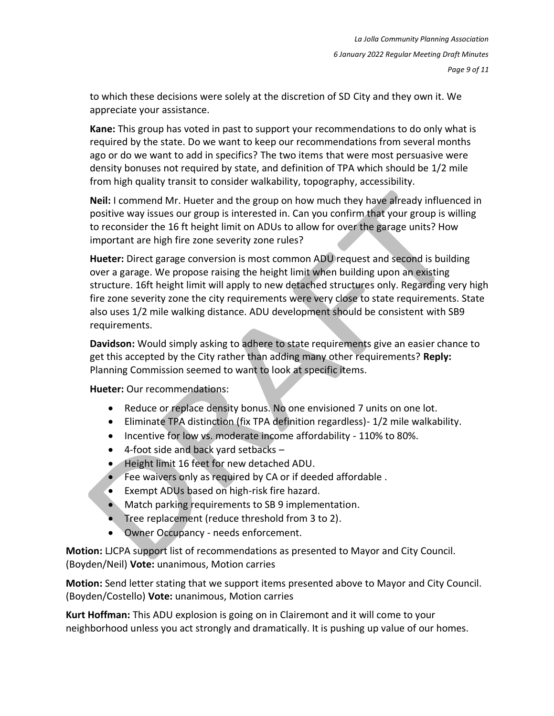to which these decisions were solely at the discretion of SD City and they own it. We appreciate your assistance.

**Kane:** This group has voted in past to support your recommendations to do only what is required by the state. Do we want to keep our recommendations from several months ago or do we want to add in specifics? The two items that were most persuasive were density bonuses not required by state, and definition of TPA which should be 1/2 mile from high quality transit to consider walkability, topography, accessibility.

**Neil:** I commend Mr. Hueter and the group on how much they have already influenced in positive way issues our group is interested in. Can you confirm that your group is willing to reconsider the 16 ft height limit on ADUs to allow for over the garage units? How important are high fire zone severity zone rules?

**Hueter:** Direct garage conversion is most common ADU request and second is building over a garage. We propose raising the height limit when building upon an existing structure. 16ft height limit will apply to new detached structures only. Regarding very high fire zone severity zone the city requirements were very close to state requirements. State also uses 1/2 mile walking distance. ADU development should be consistent with SB9 requirements.

**Davidson:** Would simply asking to adhere to state requirements give an easier chance to get this accepted by the City rather than adding many other requirements? **Reply:** Planning Commission seemed to want to look at specific items.

**Hueter:** Our recommendations:

- Reduce or replace density bonus. No one envisioned 7 units on one lot.
- Eliminate TPA distinction (fix TPA definition regardless)- 1/2 mile walkability.
- Incentive for low vs. moderate income affordability 110% to 80%.
- 4-foot side and back yard setbacks –
- Height limit 16 feet for new detached ADU.
- Fee waivers only as required by CA or if deeded affordable .
- Exempt ADUs based on high-risk fire hazard.
- Match parking requirements to SB 9 implementation.
- Tree replacement (reduce threshold from 3 to 2).
- Owner Occupancy needs enforcement.

**Motion:** LJCPA support list of recommendations as presented to Mayor and City Council. (Boyden/Neil) **Vote:** unanimous, Motion carries

**Motion:** Send letter stating that we support items presented above to Mayor and City Council. (Boyden/Costello) **Vote:** unanimous, Motion carries

**Kurt Hoffman:** This ADU explosion is going on in Clairemont and it will come to your neighborhood unless you act strongly and dramatically. It is pushing up value of our homes.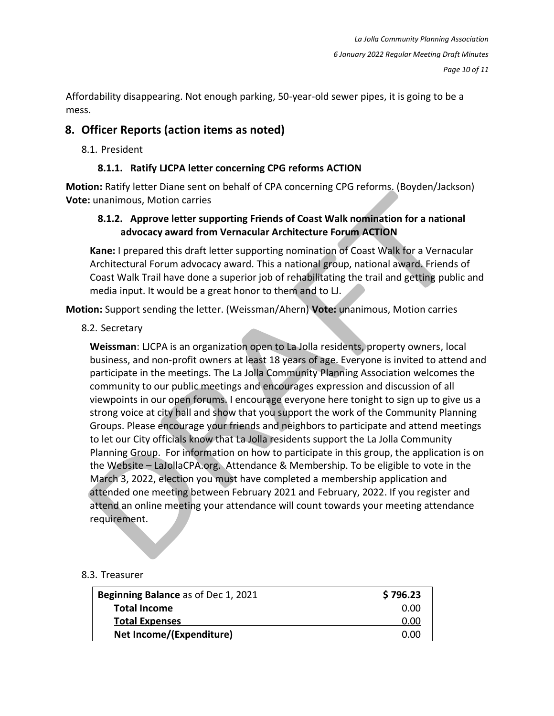Affordability disappearing. Not enough parking, 50-year-old sewer pipes, it is going to be a mess.

# **8. Officer Reports (action items as noted)**

8.1. President

### **8.1.1. Ratify LJCPA letter concerning CPG reforms ACTION**

**Motion:** Ratify letter Diane sent on behalf of CPA concerning CPG reforms. (Boyden/Jackson) **Vote:** unanimous, Motion carries

### **8.1.2. Approve letter supporting Friends of Coast Walk nomination for a national advocacy award from Vernacular Architecture Forum ACTION**

**Kane:** I prepared this draft letter supporting nomination of Coast Walk for a Vernacular Architectural Forum advocacy award. This a national group, national award. Friends of Coast Walk Trail have done a superior job of rehabilitating the trail and getting public and media input. It would be a great honor to them and to LJ.

**Motion:** Support sending the letter. (Weissman/Ahern) **Vote:** unanimous, Motion carries

#### 8.2. Secretary

**Weissman**: LJCPA is an organization open to La Jolla residents, property owners, local business, and non-profit owners at least 18 years of age. Everyone is invited to attend and participate in the meetings. The La Jolla Community Planning Association welcomes the community to our public meetings and encourages expression and discussion of all viewpoints in our open forums. I encourage everyone here tonight to sign up to give us a strong voice at city hall and show that you support the work of the Community Planning Groups. Please encourage your friends and neighbors to participate and attend meetings to let our City officials know that La Jolla residents support the La Jolla Community Planning Group. For information on how to participate in this group, the application is on the Website – LaJollaCPA.org. Attendance & Membership. To be eligible to vote in the March 3, 2022, election you must have completed a membership application and attended one meeting between February 2021 and February, 2022. If you register and attend an online meeting your attendance will count towards your meeting attendance requirement.

#### 8.3. Treasurer

| Beginning Balance as of Dec 1, 2021 | \$796.23 |
|-------------------------------------|----------|
| <b>Total Income</b>                 | 0.00     |
| <b>Total Expenses</b>               | 0.00     |
| Net Income/(Expenditure)            | 0.00     |